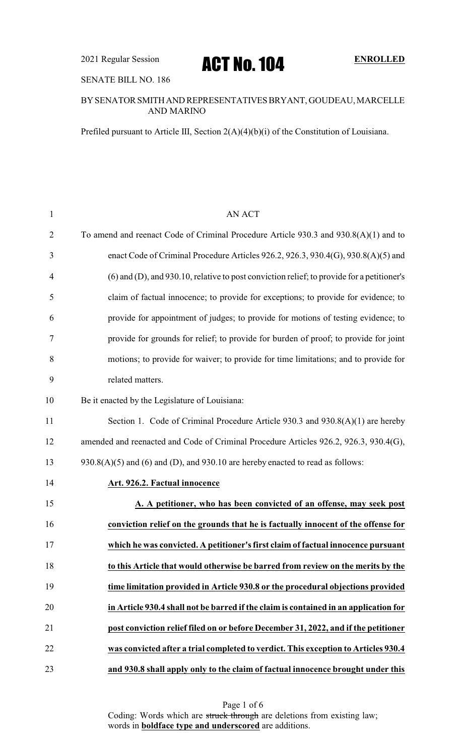## SENATE BILL NO. 186

## BYSENATORSMITHANDREPRESENTATIVESBRYANT, GOUDEAU, MARCELLE AND MARINO

Prefiled pursuant to Article III, Section 2(A)(4)(b)(i) of the Constitution of Louisiana.

| $\mathbf{1}$   | <b>AN ACT</b>                                                                              |
|----------------|--------------------------------------------------------------------------------------------|
| $\overline{2}$ | To amend and reenact Code of Criminal Procedure Article 930.3 and 930.8(A)(1) and to       |
| 3              | enact Code of Criminal Procedure Articles 926.2, 926.3, 930.4(G), 930.8(A)(5) and          |
| $\overline{4}$ | (6) and (D), and 930.10, relative to post conviction relief; to provide for a petitioner's |
| 5              | claim of factual innocence; to provide for exceptions; to provide for evidence; to         |
| 6              | provide for appointment of judges; to provide for motions of testing evidence; to          |
| 7              | provide for grounds for relief; to provide for burden of proof; to provide for joint       |
| 8              | motions; to provide for waiver; to provide for time limitations; and to provide for        |
| 9              | related matters.                                                                           |
| 10             | Be it enacted by the Legislature of Louisiana:                                             |
| 11             | Section 1. Code of Criminal Procedure Article 930.3 and 930.8(A)(1) are hereby             |
| 12             | amended and reenacted and Code of Criminal Procedure Articles 926.2, 926.3, 930.4(G),      |
| 13             | 930.8(A)(5) and (6) and (D), and 930.10 are hereby enacted to read as follows:             |
| 14             | Art. 926.2. Factual innocence                                                              |
| 15             | A. A petitioner, who has been convicted of an offense, may seek post                       |
| 16             | conviction relief on the grounds that he is factually innocent of the offense for          |
| 17             | which he was convicted. A petitioner's first claim of factual innocence pursuant           |
| 18             | to this Article that would otherwise be barred from review on the merits by the            |
| 19             | time limitation provided in Article 930.8 or the procedural objections provided            |
| 20             | in Article 930.4 shall not be barred if the claim is contained in an application for       |
| 21             | post conviction relief filed on or before December 31, 2022, and if the petitioner         |
| 22             | was convicted after a trial completed to verdict. This exception to Articles 930.4         |
| 23             | and 930.8 shall apply only to the claim of factual innocence brought under this            |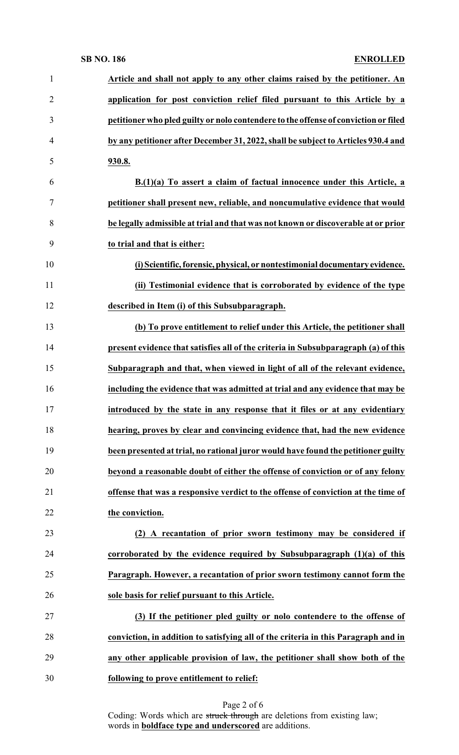## **SB NO. 186 ENROLLED**

| $\mathbf{1}$   | Article and shall not apply to any other claims raised by the petitioner. An        |
|----------------|-------------------------------------------------------------------------------------|
| $\overline{2}$ | application for post conviction relief filed pursuant to this Article by a          |
| 3              | petitioner who pled guilty or nolo contendere to the offense of conviction or filed |
| 4              | by any petitioner after December 31, 2022, shall be subject to Articles 930.4 and   |
| 5              | 930.8.                                                                              |
| 6              | $B(1)(a)$ To assert a claim of factual innocence under this Article, a              |
| 7              | petitioner shall present new, reliable, and noncumulative evidence that would       |
| 8              | be legally admissible at trial and that was not known or discoverable at or prior   |
| 9              | to trial and that is either:                                                        |
| 10             | (i) Scientific, forensic, physical, or nontestimonial documentary evidence.         |
| 11             | (ii) Testimonial evidence that is corroborated by evidence of the type              |
| 12             | described in Item (i) of this Subsubparagraph.                                      |
| 13             | (b) To prove entitlement to relief under this Article, the petitioner shall         |
| 14             | present evidence that satisfies all of the criteria in Subsubparagraph (a) of this  |
| 15             | Subparagraph and that, when viewed in light of all of the relevant evidence,        |
| 16             | including the evidence that was admitted at trial and any evidence that may be      |
| 17             | introduced by the state in any response that it files or at any evidentiary         |
| 18             | hearing, proves by clear and convincing evidence that, had the new evidence         |
| 19             | been presented at trial, no rational juror would have found the petitioner guilty   |
| 20             | beyond a reasonable doubt of either the offense of conviction or of any felony      |
| 21             | offense that was a responsive verdict to the offense of conviction at the time of   |
| 22             | the conviction.                                                                     |
| 23             | (2) A recantation of prior sworn testimony may be considered if                     |
| 24             | corroborated by the evidence required by Subsubparagraph $(1)(a)$ of this           |
| 25             | Paragraph. However, a recantation of prior sworn testimony cannot form the          |
| 26             | sole basis for relief pursuant to this Article.                                     |
| 27             | (3) If the petitioner pled guilty or nolo contendere to the offense of              |
| 28             | conviction, in addition to satisfying all of the criteria in this Paragraph and in  |
| 29             | any other applicable provision of law, the petitioner shall show both of the        |
| 30             | following to prove entitlement to relief:                                           |

| Page 2 of 6 |  |  |  |
|-------------|--|--|--|
|-------------|--|--|--|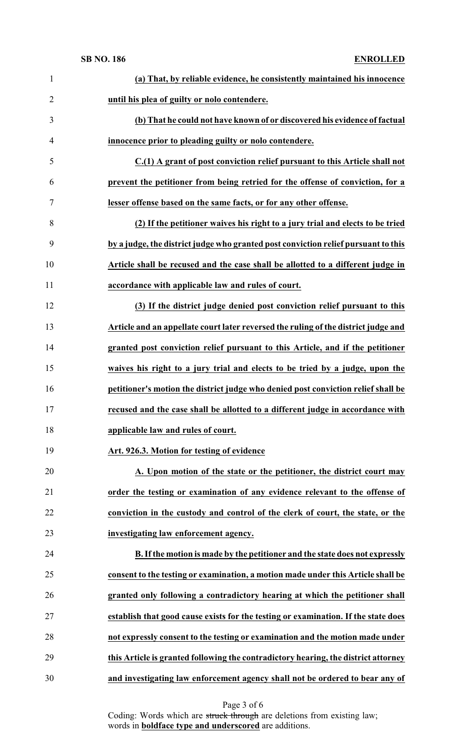| $\mathbf{1}$   | (a) That, by reliable evidence, he consistently maintained his innocence           |
|----------------|------------------------------------------------------------------------------------|
| $\overline{2}$ | until his plea of guilty or nolo contendere.                                       |
| 3              | (b) That he could not have known of or discovered his evidence of factual          |
| $\overline{4}$ | innocence prior to pleading guilty or nolo contendere.                             |
| 5              | C.(1) A grant of post conviction relief pursuant to this Article shall not         |
| 6              | prevent the petitioner from being retried for the offense of conviction, for a     |
| 7              | lesser offense based on the same facts, or for any other offense.                  |
| 8              | (2) If the petitioner waives his right to a jury trial and elects to be tried      |
| 9              | by a judge, the district judge who granted post conviction relief pursuant to this |
| 10             | Article shall be recused and the case shall be allotted to a different judge in    |
| 11             | accordance with applicable law and rules of court.                                 |
| 12             | (3) If the district judge denied post conviction relief pursuant to this           |
| 13             | Article and an appellate court later reversed the ruling of the district judge and |
| 14             | granted post conviction relief pursuant to this Article, and if the petitioner     |
| 15             | waives his right to a jury trial and elects to be tried by a judge, upon the       |
| 16             | petitioner's motion the district judge who denied post conviction relief shall be  |
| 17             | recused and the case shall be allotted to a different judge in accordance with     |
| 18             | applicable law and rules of court.                                                 |
| 19             | Art. 926.3. Motion for testing of evidence                                         |
| 20             | A. Upon motion of the state or the petitioner, the district court may              |
| 21             | order the testing or examination of any evidence relevant to the offense of        |
| 22             | conviction in the custody and control of the clerk of court, the state, or the     |
| 23             | investigating law enforcement agency.                                              |
| 24             | B. If the motion is made by the petitioner and the state does not expressly        |
| 25             | consent to the testing or examination, a motion made under this Article shall be   |
| 26             | granted only following a contradictory hearing at which the petitioner shall       |
| 27             | establish that good cause exists for the testing or examination. If the state does |
| 28             | not expressly consent to the testing or examination and the motion made under      |
| 29             | this Article is granted following the contradictory hearing, the district attorney |
| 30             | and investigating law enforcement agency shall not be ordered to bear any of       |

Page 3 of 6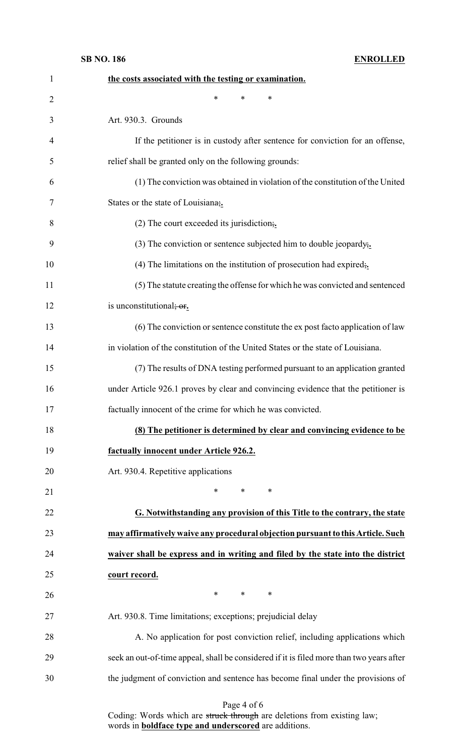**SB NO. 186 ENROLLED**

| $\mathbf{1}$   | the costs associated with the testing or examination.                                    |
|----------------|------------------------------------------------------------------------------------------|
| $\overline{2}$ | *<br>$\ast$<br>∗                                                                         |
| 3              | Art. 930.3. Grounds                                                                      |
| 4              | If the petitioner is in custody after sentence for conviction for an offense,            |
| 5              | relief shall be granted only on the following grounds:                                   |
| 6              | (1) The conviction was obtained in violation of the constitution of the United           |
| 7              | States or the state of Louisiana;                                                        |
| 8              | $(2)$ The court exceeded its jurisdiction;                                               |
| 9              | (3) The conviction or sentence subjected him to double jeopardy.                         |
| 10             | $(4)$ The limitations on the institution of prosecution had expired;                     |
| 11             | (5) The statute creating the offense for which he was convicted and sentenced            |
| 12             | is unconstitutional; or.                                                                 |
| 13             | (6) The conviction or sentence constitute the ex post facto application of law           |
| 14             | in violation of the constitution of the United States or the state of Louisiana.         |
| 15             | (7) The results of DNA testing performed pursuant to an application granted              |
| 16             | under Article 926.1 proves by clear and convincing evidence that the petitioner is       |
| 17             | factually innocent of the crime for which he was convicted.                              |
| 18             | (8) The petitioner is determined by clear and convincing evidence to be                  |
| 19             | factually innocent under Article 926.2.                                                  |
| 20             | Art. 930.4. Repetitive applications                                                      |
| 21             | $\ast$<br>*<br>$\ast$                                                                    |
| 22             | G. Notwithstanding any provision of this Title to the contrary, the state                |
| 23             | may affirmatively waive any procedural objection pursuant to this Article. Such          |
| 24             | waiver shall be express and in writing and filed by the state into the district          |
| 25             | court record.                                                                            |
| 26             | $\ast$<br>$\ast$<br>$\ast$                                                               |
| 27             | Art. 930.8. Time limitations; exceptions; prejudicial delay                              |
| 28             | A. No application for post conviction relief, including applications which               |
| 29             | seek an out-of-time appeal, shall be considered if it is filed more than two years after |
| 30             | the judgment of conviction and sentence has become final under the provisions of         |
|                |                                                                                          |

Page 4 of 6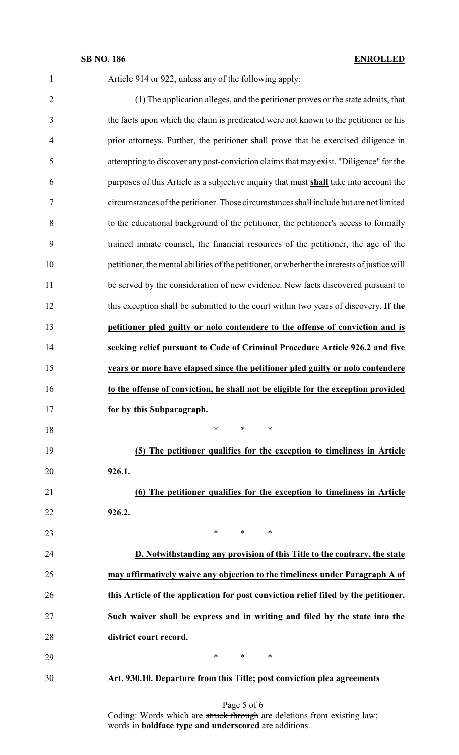| $\mathbf{1}$   | Article 914 or 922, unless any of the following apply:                                       |
|----------------|----------------------------------------------------------------------------------------------|
| $\overline{2}$ | (1) The application alleges, and the petitioner proves or the state admits, that             |
| 3              | the facts upon which the claim is predicated were not known to the petitioner or his         |
| $\overline{4}$ | prior attorneys. Further, the petitioner shall prove that he exercised diligence in          |
| 5              | attempting to discover any post-conviction claims that may exist. "Diligence" for the        |
| 6              | purposes of this Article is a subjective inquiry that must shall take into account the       |
| $\tau$         | circumstances of the petitioner. Those circumstances shall include but are not limited       |
| 8              | to the educational background of the petitioner, the petitioner's access to formally         |
| 9              | trained inmate counsel, the financial resources of the petitioner, the age of the            |
| 10             | petitioner, the mental abilities of the petitioner, or whether the interests of justice will |
| 11             | be served by the consideration of new evidence. New facts discovered pursuant to             |
| 12             | this exception shall be submitted to the court within two years of discovery. If the         |
| 13             | petitioner pled guilty or nolo contendere to the offense of conviction and is                |
| 14             | seeking relief pursuant to Code of Criminal Procedure Article 926.2 and five                 |
| 15             | years or more have elapsed since the petitioner pled guilty or nolo contendere               |
| 16             | to the offense of conviction, he shall not be eligible for the exception provided            |
| 17             | for by this Subparagraph.                                                                    |
| 18             | ∗<br>$\ast$<br>∗                                                                             |
| 19             | (5) The petitioner qualifies for the exception to timeliness in Article                      |
| 20             | 926.1.                                                                                       |
| 21             | (6) The petitioner qualifies for the exception to timeliness in Article                      |
| 22             | <u>926.2.</u>                                                                                |
| 23             | *<br>$\ast$<br>∗                                                                             |
| 24             | D. Notwithstanding any provision of this Title to the contrary, the state                    |
| 25             | may affirmatively waive any objection to the timeliness under Paragraph A of                 |
| 26             | this Article of the application for post conviction relief filed by the petitioner.          |
| 27             | Such waiver shall be express and in writing and filed by the state into the                  |
| 28             | district court record.                                                                       |
| 29             | *<br>∗<br>∗                                                                                  |
| 30             | Art. 930.10. Departure from this Title; post conviction plea agreements                      |
|                |                                                                                              |

Page 5 of 6